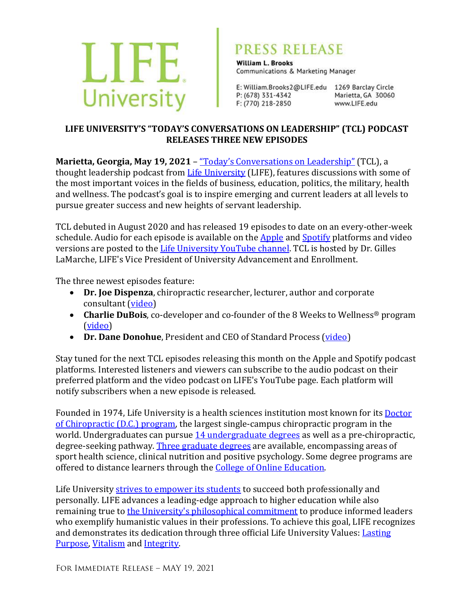

## PRESS RELEASE

**William L. Brooks** Communications & Marketing Manager

E: William.Brooks2@LIFE.edu 1269 Barclay Circle P: (678) 331-4342 F: (770) 218-2850

Marietta, GA 30060 www.LIFE.edu

## LIFE UNIVERSITY'S "TODAY'S CONVERSATIONS ON LEADERSHIP" (TCL) PODCAST **RELEASES THREE NEW EPISODES**

Marietta, Georgia, May 19, 2021 - "Today's Conversations on Leadership" (TCL), a thought leadership podcast from Life University (LIFE), features discussions with some of the most important voices in the fields of business, education, politics, the military, health and wellness. The podcast's goal is to inspire emerging and current leaders at all levels to pursue greater success and new heights of servant leadership.

TCL debuted in August 2020 and has released 19 episodes to date on an every-other-week schedule. Audio for each episode is available on the  $\Delta$ pple and  $\Delta$ potify platforms and video versions are posted to the Life University YouTube channel. TCL is hosted by Dr. Gilles LaMarche, LIFE's Vice President of University Advancement and Enrollment.

The three newest episodes feature:

- Dr. Joe Dispenza, chiropractic researcher, lecturer, author and corporate consultant (video)
- **Charlie DuBois**, co-developer and co-founder of the 8 Weeks to Wellness® program (video)
- **Dr. Dane Donohue**, President and CEO of Standard Process (video)

Stay tuned for the next TCL episodes releasing this month on the Apple and Spotify podcast platforms. Interested listeners and viewers can subscribe to the audio podcast on their preferred platform and the video podcast on LIFE's YouTube page. Each platform will notify subscribers when a new episode is released.

Founded in 1974, Life University is a health sciences institution most known for its Doctor of Chiropractic (D.C.) program, the largest single-campus chiropractic program in the world. Undergraduates can pursue 14 undergraduate degrees as well as a pre-chiropractic, degree-seeking pathway. Three graduate degrees are available, encompassing areas of sport health science, clinical nutrition and positive psychology. Some degree programs are offered to distance learners through the College of Online Education.

Life University strives to empower its students to succeed both professionally and personally. LIFE advances a leading-edge approach to higher education while also remaining true to the University's philosophical commitment to produce informed leaders who exemplify humanistic values in their professions. To achieve this goal, LIFE recognizes and demonstrates its dedication through three official Life University Values: Lasting Purpose, Vitalism and Integrity.